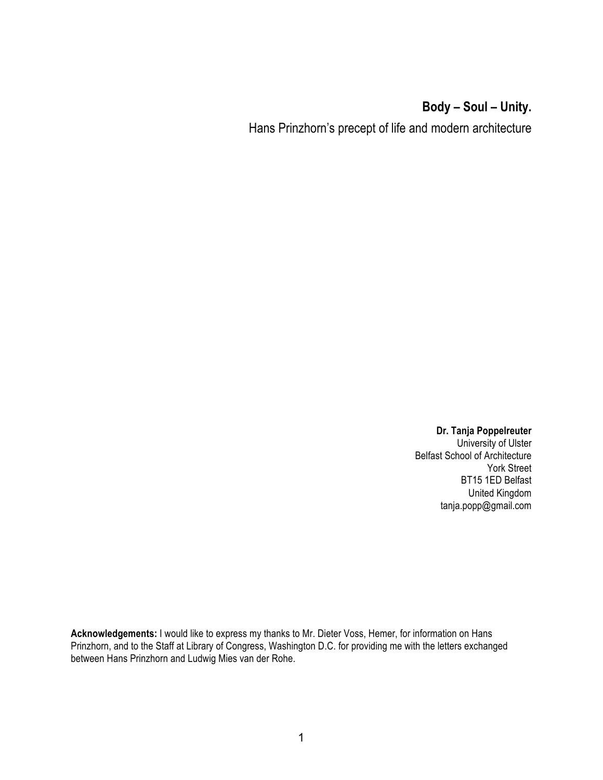# **Body – Soul – Unity.**

Hans Prinzhorn's precept of life and modern architecture

**Dr. Tanja Poppelreuter** University of Ulster Belfast School of Architecture York Street BT15 1ED Belfast United Kingdom tanja.popp@gmail.com

**Acknowledgements:** I would like to express my thanks to Mr. Dieter Voss, Hemer, for information on Hans Prinzhorn, and to the Staff at Library of Congress, Washington D.C. for providing me with the letters exchanged between Hans Prinzhorn and Ludwig Mies van der Rohe.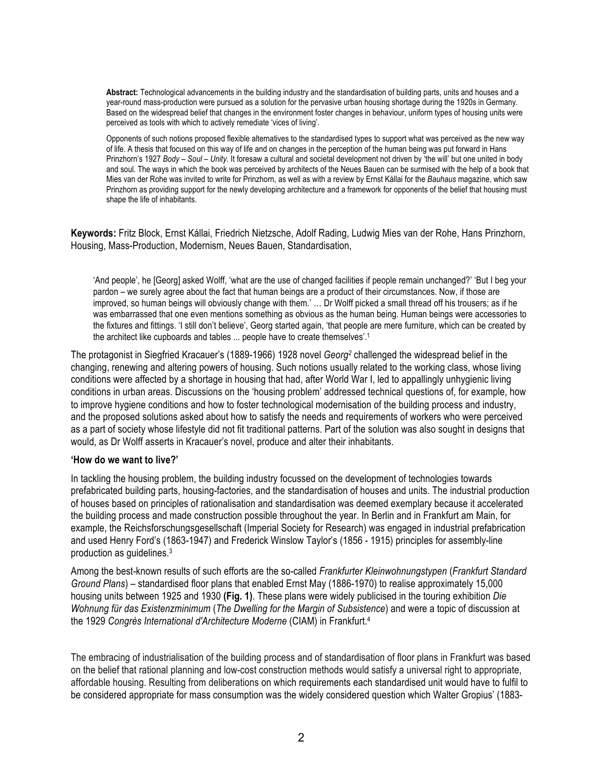**Abstract:** Technological advancements in the building industry and the standardisation of building parts, units and houses and a year-round mass-production were pursued as a solution for the pervasive urban housing shortage during the 1920s in Germany. Based on the widespread belief that changes in the environment foster changes in behaviour, uniform types of housing units were perceived as tools with which to actively remediate 'vices of living'.

Opponents of such notions proposed flexible alternatives to the standardised types to support what was perceived as the new way of life. A thesis that focused on this way of life and on changes in the perception of the human being was put forward in Hans Prinzhorn's 1927 *Body – Soul – Unity.* It foresaw a cultural and societal development not driven by 'the will' but one united in body and soul. The ways in which the book was perceived by architects of the Neues Bauen can be surmised with the help of a book that Mies van der Rohe was invited to write for Prinzhorn, as well as with a review by Ernst Kállai for the *Bauhaus* magazine, which saw Prinzhorn as providing support for the newly developing architecture and a framework for opponents of the belief that housing must shape the life of inhabitants.

**Keywords:** Fritz Block, Ernst Kállai, Friedrich Nietzsche, Adolf Rading, Ludwig Mies van der Rohe, Hans Prinzhorn, Housing, Mass-Production, Modernism, Neues Bauen, Standardisation,

'And people', he [Georg] asked Wolff, 'what are the use of changed facilities if people remain unchanged?' 'But I beg your pardon – we surely agree about the fact that human beings are a product of their circumstances. Now, if those are improved, so human beings will obviously change with them.' … Dr Wolff picked a small thread off his trousers; as if he was embarrassed that one even mentions something as obvious as the human being. Human beings were accessories to the fixtures and fittings. 'I still don't believe', Georg started again, 'that people are mere furniture, which can be created by the architect like cupboards and tables ... people have to create themselves'. 1

The protagonist in Siegfried Kracauer's (1889-1966) 1928 novel *Georg2* challenged the widespread belief in the changing, renewing and altering powers of housing. Such notions usually related to the working class, whose living conditions were affected by a shortage in housing that had, after World War I, led to appallingly unhygienic living conditions in urban areas. Discussions on the 'housing problem' addressed technical questions of, for example, how to improve hygiene conditions and how to foster technological modernisation of the building process and industry, and the proposed solutions asked about how to satisfy the needs and requirements of workers who were perceived as a part of society whose lifestyle did not fit traditional patterns. Part of the solution was also sought in designs that would, as Dr Wolff asserts in Kracauer's novel, produce and alter their inhabitants.

#### **'How do we want to live?'**

In tackling the housing problem, the building industry focussed on the development of technologies towards prefabricated building parts, housing-factories, and the standardisation of houses and units. The industrial production of houses based on principles of rationalisation and standardisation was deemed exemplary because it accelerated the building process and made construction possible throughout the year. In Berlin and in Frankfurt am Main, for example, the Reichsforschungsgesellschaft (Imperial Society for Research) was engaged in industrial prefabrication and used Henry Ford's (1863-1947) and Frederick Winslow Taylor's (1856 - 1915) principles for assembly-line production as guidelines. 3

Among the best-known results of such efforts are the so-called *Frankfurter Kleinwohnungstypen* (*Frankfurt Standard Ground Plans*) – standardised floor plans that enabled Ernst May (1886-1970) to realise approximately 15,000 housing units between 1925 and 1930 **(Fig. 1)**. These plans were widely publicised in the touring exhibition *Die Wohnung für das Existenzminimum* (*The Dwelling for the Margin of Subsistence*) and were a topic of discussion at the 1929 *Congrès International d'Architecture Moderne* (CIAM) in Frankfurt. 4

The embracing of industrialisation of the building process and of standardisation of floor plans in Frankfurt was based on the belief that rational planning and low-cost construction methods would satisfy a universal right to appropriate, affordable housing. Resulting from deliberations on which requirements each standardised unit would have to fulfil to be considered appropriate for mass consumption was the widely considered question which Walter Gropius' (1883-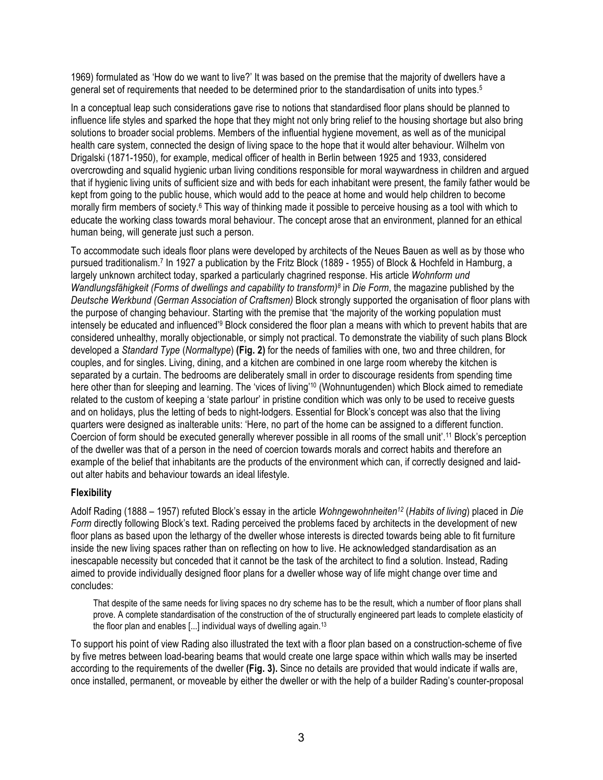1969) formulated as 'How do we want to live?' It was based on the premise that the majority of dwellers have a general set of requirements that needed to be determined prior to the standardisation of units into types.<sup>5</sup>

In a conceptual leap such considerations gave rise to notions that standardised floor plans should be planned to influence life styles and sparked the hope that they might not only bring relief to the housing shortage but also bring solutions to broader social problems. Members of the influential hygiene movement, as well as of the municipal health care system, connected the design of living space to the hope that it would alter behaviour. Wilhelm von Drigalski (1871-1950), for example, medical officer of health in Berlin between 1925 and 1933, considered overcrowding and squalid hygienic urban living conditions responsible for moral waywardness in children and argued that if hygienic living units of sufficient size and with beds for each inhabitant were present, the family father would be kept from going to the public house, which would add to the peace at home and would help children to become morally firm members of society.6 This way of thinking made it possible to perceive housing as a tool with which to educate the working class towards moral behaviour. The concept arose that an environment, planned for an ethical human being, will generate just such a person.

To accommodate such ideals floor plans were developed by architects of the Neues Bauen as well as by those who pursued traditionalism. <sup>7</sup> In 1927 a publication by the Fritz Block (1889 - 1955) of Block & Hochfeld in Hamburg, a largely unknown architect today, sparked a particularly chagrined response. His article *Wohnform und Wandlungsfähigkeit (Forms of dwellings and capability to transform)8* in *Die Form*, the magazine published by the *Deutsche Werkbund (German Association of Craftsmen)* Block strongly supported the organisation of floor plans with the purpose of changing behaviour. Starting with the premise that 'the majority of the working population must intensely be educated and influenced<sup>39</sup> Block considered the floor plan a means with which to prevent habits that are considered unhealthy, morally objectionable, or simply not practical. To demonstrate the viability of such plans Block developed a *Standard Type* (*Normaltype*) **(Fig. 2)** for the needs of families with one, two and three children, for couples, and for singles. Living, dining, and a kitchen are combined in one large room whereby the kitchen is separated by a curtain. The bedrooms are deliberately small in order to discourage residents from spending time here other than for sleeping and learning. The 'vices of living'<sup>10</sup> (Wohnuntugenden) which Block aimed to remediate related to the custom of keeping a 'state parlour' in pristine condition which was only to be used to receive guests and on holidays, plus the letting of beds to night-lodgers. Essential for Block's concept was also that the living quarters were designed as inalterable units: 'Here, no part of the home can be assigned to a different function. Coercion of form should be executed generally wherever possible in all rooms of the small unit'.<sup>11</sup> Block's perception of the dweller was that of a person in the need of coercion towards morals and correct habits and therefore an example of the belief that inhabitants are the products of the environment which can, if correctly designed and laidout alter habits and behaviour towards an ideal lifestyle.

# **Flexibility**

Adolf Rading (1888 – 1957) refuted Block's essay in the article *Wohngewohnheiten12* (*Habits of living*) placed in *Die Form* directly following Block's text. Rading perceived the problems faced by architects in the development of new floor plans as based upon the lethargy of the dweller whose interests is directed towards being able to fit furniture inside the new living spaces rather than on reflecting on how to live. He acknowledged standardisation as an inescapable necessity but conceded that it cannot be the task of the architect to find a solution. Instead, Rading aimed to provide individually designed floor plans for a dweller whose way of life might change over time and concludes:

That despite of the same needs for living spaces no dry scheme has to be the result, which a number of floor plans shall prove. A complete standardisation of the construction of the of structurally engineered part leads to complete elasticity of the floor plan and enables [...] individual ways of dwelling again.13

To support his point of view Rading also illustrated the text with a floor plan based on a construction-scheme of five by five metres between load-bearing beams that would create one large space within which walls may be inserted according to the requirements of the dweller **(Fig. 3).** Since no details are provided that would indicate if walls are, once installed, permanent, or moveable by either the dweller or with the help of a builder Rading's counter-proposal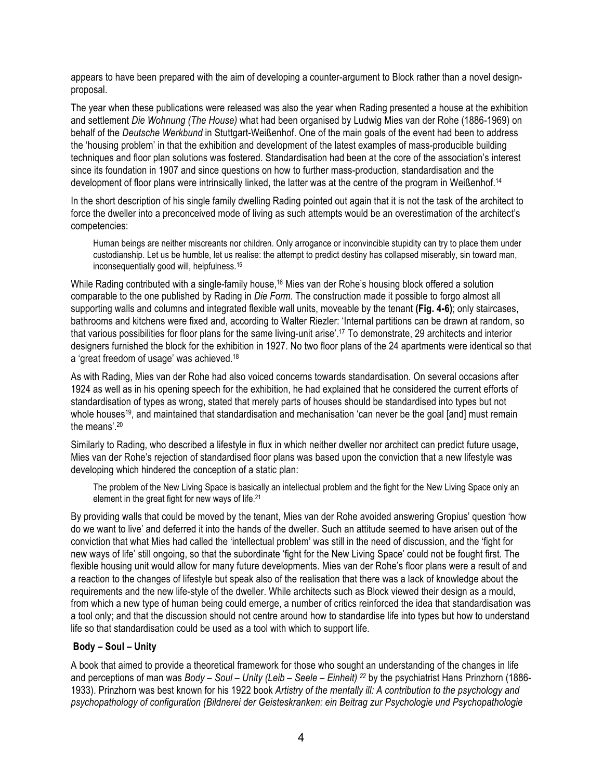appears to have been prepared with the aim of developing a counter-argument to Block rather than a novel designproposal.

The year when these publications were released was also the year when Rading presented a house at the exhibition and settlement *Die Wohnung (The House)* what had been organised by Ludwig Mies van der Rohe (1886-1969) on behalf of the *Deutsche Werkbund* in Stuttgart-Weißenhof. One of the main goals of the event had been to address the 'housing problem' in that the exhibition and development of the latest examples of mass-producible building techniques and floor plan solutions was fostered. Standardisation had been at the core of the association's interest since its foundation in 1907 and since questions on how to further mass-production, standardisation and the development of floor plans were intrinsically linked, the latter was at the centre of the program in Weißenhof.<sup>14</sup>

In the short description of his single family dwelling Rading pointed out again that it is not the task of the architect to force the dweller into a preconceived mode of living as such attempts would be an overestimation of the architect's competencies:

Human beings are neither miscreants nor children. Only arrogance or inconvincible stupidity can try to place them under custodianship. Let us be humble, let us realise: the attempt to predict destiny has collapsed miserably, sin toward man, inconsequentially good will, helpfulness.15

While Rading contributed with a single-family house,<sup>16</sup> Mies van der Rohe's housing block offered a solution comparable to the one published by Rading in *Die Form.* The construction made it possible to forgo almost all supporting walls and columns and integrated flexible wall units, moveable by the tenant **(Fig. 4-6)**; only staircases, bathrooms and kitchens were fixed and, according to Walter Riezler: 'Internal partitions can be drawn at random, so that various possibilities for floor plans for the same living-unit arise'. <sup>17</sup> To demonstrate, 29 architects and interior designers furnished the block for the exhibition in 1927. No two floor plans of the 24 apartments were identical so that a 'great freedom of usage' was achieved.18

As with Rading, Mies van der Rohe had also voiced concerns towards standardisation. On several occasions after 1924 as well as in his opening speech for the exhibition, he had explained that he considered the current efforts of standardisation of types as wrong, stated that merely parts of houses should be standardised into types but not whole houses<sup>19</sup>, and maintained that standardisation and mechanisation 'can never be the goal [and] must remain the means'. 20

Similarly to Rading, who described a lifestyle in flux in which neither dweller nor architect can predict future usage, Mies van der Rohe's rejection of standardised floor plans was based upon the conviction that a new lifestyle was developing which hindered the conception of a static plan:

The problem of the New Living Space is basically an intellectual problem and the fight for the New Living Space only an element in the great fight for new ways of life.21

By providing walls that could be moved by the tenant, Mies van der Rohe avoided answering Gropius' question 'how do we want to live' and deferred it into the hands of the dweller. Such an attitude seemed to have arisen out of the conviction that what Mies had called the 'intellectual problem' was still in the need of discussion, and the 'fight for new ways of life' still ongoing, so that the subordinate 'fight for the New Living Space' could not be fought first. The flexible housing unit would allow for many future developments. Mies van der Rohe's floor plans were a result of and a reaction to the changes of lifestyle but speak also of the realisation that there was a lack of knowledge about the requirements and the new life-style of the dweller. While architects such as Block viewed their design as a mould, from which a new type of human being could emerge, a number of critics reinforced the idea that standardisation was a tool only; and that the discussion should not centre around how to standardise life into types but how to understand life so that standardisation could be used as a tool with which to support life.

## **Body – Soul – Unity**

A book that aimed to provide a theoretical framework for those who sought an understanding of the changes in life and perceptions of man was *Body – Soul – Unity (Leib – Seele – Einheit) 22* by the psychiatrist Hans Prinzhorn (1886- 1933). Prinzhorn was best known for his 1922 book *Artistry of the mentally ill: A contribution to the psychology and psychopathology of configuration (Bildnerei der Geisteskranken: ein Beitrag zur Psychologie und Psychopathologie*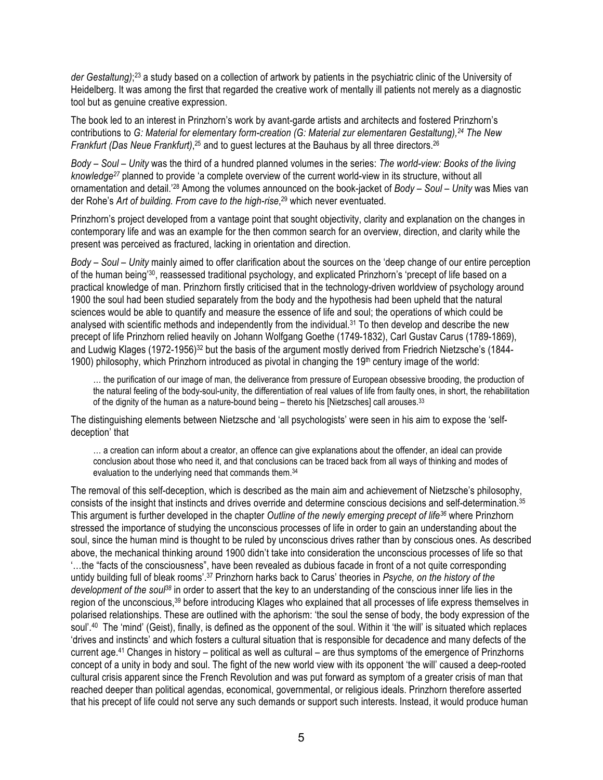*der Gestaltung)*; 23 a study based on a collection of artwork by patients in the psychiatric clinic of the University of Heidelberg. It was among the first that regarded the creative work of mentally ill patients not merely as a diagnostic tool but as genuine creative expression.

The book led to an interest in Prinzhorn's work by avant-garde artists and architects and fostered Prinzhorn's contributions to *G: Material for elementary form-creation (G: Material zur elementaren Gestaltung), <sup>24</sup> The New*  Frankfurt (Das Neue Frankfurt),<sup>25</sup> and to guest lectures at the Bauhaus by all three directors.<sup>26</sup>

*Body – Soul – Unity* was the third of a hundred planned volumes in the series: *The world-view: Books of the living knowledge27* planned to provide 'a complete overview of the current world-view in its structure, without all ornamentation and detail.' <sup>28</sup> Among the volumes announced on the book-jacket of *Body – Soul – Unity* was Mies van der Rohe's *Art of building. From cave to the high-rise*, 29 which never eventuated.

Prinzhorn's project developed from a vantage point that sought objectivity, clarity and explanation on the changes in contemporary life and was an example for the then common search for an overview, direction, and clarity while the present was perceived as fractured, lacking in orientation and direction.

*Body – Soul – Unity* mainly aimed to offer clarification about the sources on the 'deep change of our entire perception of the human being<sup>30</sup>, reassessed traditional psychology, and explicated Prinzhorn's 'precept of life based on a practical knowledge of man. Prinzhorn firstly criticised that in the technology-driven worldview of psychology around 1900 the soul had been studied separately from the body and the hypothesis had been upheld that the natural sciences would be able to quantify and measure the essence of life and soul; the operations of which could be analysed with scientific methods and independently from the individual.<sup>31</sup> To then develop and describe the new precept of life Prinzhorn relied heavily on Johann Wolfgang Goethe (1749-1832), Carl Gustav Carus (1789-1869), and Ludwig Klages (1972-1956)<sup>32</sup> but the basis of the argument mostly derived from Friedrich Nietzsche's (1844-1900) philosophy, which Prinzhorn introduced as pivotal in changing the  $19<sup>th</sup>$  century image of the world:

… the purification of our image of man, the deliverance from pressure of European obsessive brooding, the production of the natural feeling of the body-soul-unity, the differentiation of real values of life from faulty ones, in short, the rehabilitation of the dignity of the human as a nature-bound being – thereto his [Nietzsches] call arouses.33

The distinguishing elements between Nietzsche and 'all psychologists' were seen in his aim to expose the 'selfdeception' that

… a creation can inform about a creator, an offence can give explanations about the offender, an ideal can provide conclusion about those who need it, and that conclusions can be traced back from all ways of thinking and modes of evaluation to the underlying need that commands them.<sup>34</sup>

The removal of this self-deception, which is described as the main aim and achievement of Nietzsche's philosophy, consists of the insight that instincts and drives override and determine conscious decisions and self-determination.35 This argument is further developed in the chapter *Outline of the newly emerging precept of life36* where Prinzhorn stressed the importance of studying the unconscious processes of life in order to gain an understanding about the soul, since the human mind is thought to be ruled by unconscious drives rather than by conscious ones. As described above, the mechanical thinking around 1900 didn't take into consideration the unconscious processes of life so that '…the "facts of the consciousness", have been revealed as dubious facade in front of a not quite corresponding untidy building full of bleak rooms'.<sup>37</sup> Prinzhorn harks back to Carus' theories in *Psyche, on the history of the development of the soul38* in order to assert that the key to an understanding of the conscious inner life lies in the region of the unconscious,<sup>39</sup> before introducing Klages who explained that all processes of life express themselves in polarised relationships. These are outlined with the aphorism: 'the soul the sense of body, the body expression of the soul'.<sup>40</sup> The 'mind' (Geist), finally, is defined as the opponent of the soul. Within it 'the will' is situated which replaces 'drives and instincts' and which fosters a cultural situation that is responsible for decadence and many defects of the current age.41 Changes in history – political as well as cultural – are thus symptoms of the emergence of Prinzhorns concept of a unity in body and soul. The fight of the new world view with its opponent 'the will' caused a deep-rooted cultural crisis apparent since the French Revolution and was put forward as symptom of a greater crisis of man that reached deeper than political agendas, economical, governmental, or religious ideals. Prinzhorn therefore asserted that his precept of life could not serve any such demands or support such interests. Instead, it would produce human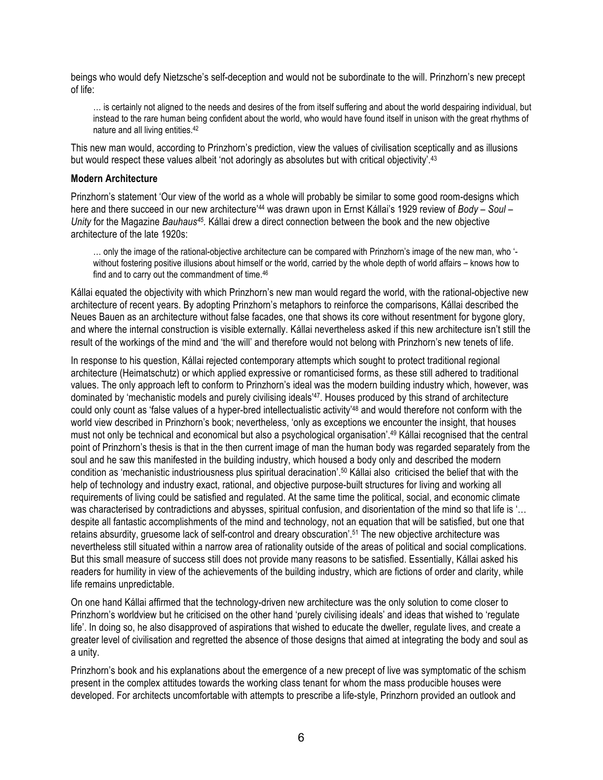beings who would defy Nietzsche's self-deception and would not be subordinate to the will. Prinzhorn's new precept of life:

… is certainly not aligned to the needs and desires of the from itself suffering and about the world despairing individual, but instead to the rare human being confident about the world, who would have found itself in unison with the great rhythms of nature and all living entities.42

This new man would, according to Prinzhorn's prediction, view the values of civilisation sceptically and as illusions but would respect these values albeit 'not adoringly as absolutes but with critical objectivity'.<sup>43</sup>

#### **Modern Architecture**

Prinzhorn's statement 'Our view of the world as a whole will probably be similar to some good room-designs which here and there succeed in our new architecture' 44 was drawn upon in Ernst Kállai's 1929 review of *Body – Soul – Unity* for the Magazine *Bauhaus45.* Kállai drew a direct connection between the book and the new objective architecture of the late 1920s:

… only the image of the rational-objective architecture can be compared with Prinzhorn's image of the new man, who ' without fostering positive illusions about himself or the world, carried by the whole depth of world affairs – knows how to find and to carry out the commandment of time.46

Kállai equated the objectivity with which Prinzhorn's new man would regard the world, with the rational-objective new architecture of recent years. By adopting Prinzhorn's metaphors to reinforce the comparisons, Kállai described the Neues Bauen as an architecture without false facades, one that shows its core without resentment for bygone glory, and where the internal construction is visible externally. Kállai nevertheless asked if this new architecture isn't still the result of the workings of the mind and 'the will' and therefore would not belong with Prinzhorn's new tenets of life.

In response to his question, Kállai rejected contemporary attempts which sought to protect traditional regional architecture (Heimatschutz) or which applied expressive or romanticised forms, as these still adhered to traditional values. The only approach left to conform to Prinzhorn's ideal was the modern building industry which, however, was dominated by 'mechanistic models and purely civilising ideals'<sup>47</sup>. Houses produced by this strand of architecture could only count as 'false values of a hyper-bred intellectualistic activity'48 and would therefore not conform with the world view described in Prinzhorn's book; nevertheless, 'only as exceptions we encounter the insight, that houses must not only be technical and economical but also a psychological organisation'. 49 Kállai recognised that the central point of Prinzhorn's thesis is that in the then current image of man the human body was regarded separately from the soul and he saw this manifested in the building industry, which housed a body only and described the modern condition as 'mechanistic industriousness plus spiritual deracination'.50 Kállai also criticised the belief that with the help of technology and industry exact, rational, and objective purpose-built structures for living and working all requirements of living could be satisfied and regulated. At the same time the political, social, and economic climate was characterised by contradictions and abysses, spiritual confusion, and disorientation of the mind so that life is '... despite all fantastic accomplishments of the mind and technology, not an equation that will be satisfied, but one that retains absurdity, gruesome lack of self-control and dreary obscuration'. <sup>51</sup> The new objective architecture was nevertheless still situated within a narrow area of rationality outside of the areas of political and social complications. But this small measure of success still does not provide many reasons to be satisfied. Essentially, Kállai asked his readers for humility in view of the achievements of the building industry, which are fictions of order and clarity, while life remains unpredictable.

On one hand Kállai affirmed that the technology-driven new architecture was the only solution to come closer to Prinzhorn's worldview but he criticised on the other hand 'purely civilising ideals' and ideas that wished to 'regulate life'. In doing so, he also disapproved of aspirations that wished to educate the dweller, regulate lives, and create a greater level of civilisation and regretted the absence of those designs that aimed at integrating the body and soul as a unity.

Prinzhorn's book and his explanations about the emergence of a new precept of live was symptomatic of the schism present in the complex attitudes towards the working class tenant for whom the mass producible houses were developed. For architects uncomfortable with attempts to prescribe a life-style, Prinzhorn provided an outlook and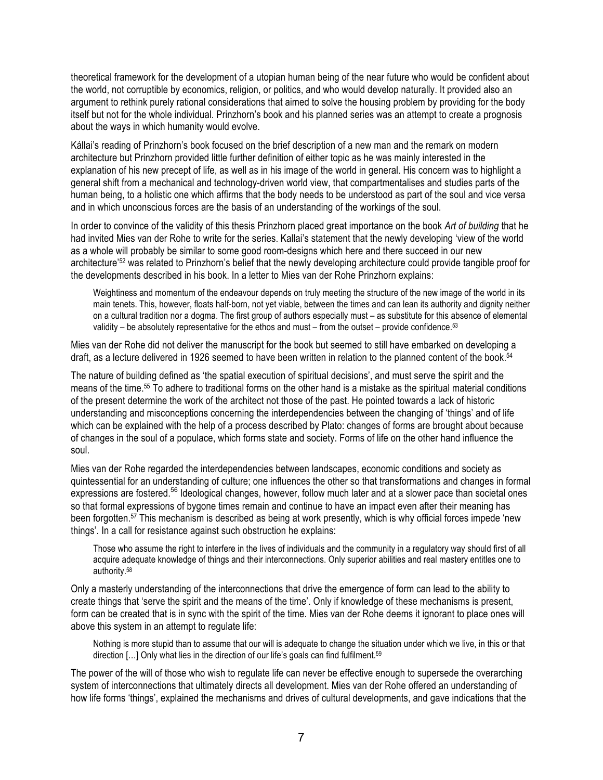theoretical framework for the development of a utopian human being of the near future who would be confident about the world, not corruptible by economics, religion, or politics, and who would develop naturally. It provided also an argument to rethink purely rational considerations that aimed to solve the housing problem by providing for the body itself but not for the whole individual. Prinzhorn's book and his planned series was an attempt to create a prognosis about the ways in which humanity would evolve.

Kállai's reading of Prinzhorn's book focused on the brief description of a new man and the remark on modern architecture but Prinzhorn provided little further definition of either topic as he was mainly interested in the explanation of his new precept of life, as well as in his image of the world in general. His concern was to highlight a general shift from a mechanical and technology-driven world view, that compartmentalises and studies parts of the human being, to a holistic one which affirms that the body needs to be understood as part of the soul and vice versa and in which unconscious forces are the basis of an understanding of the workings of the soul.

In order to convince of the validity of this thesis Prinzhorn placed great importance on the book *Art of building* that he had invited Mies van der Rohe to write for the series. Kallai's statement that the newly developing 'view of the world as a whole will probably be similar to some good room-designs which here and there succeed in our new architecture' <sup>52</sup> was related to Prinzhorn's belief that the newly developing architecture could provide tangible proof for the developments described in his book. In a letter to Mies van der Rohe Prinzhorn explains:

Weightiness and momentum of the endeavour depends on truly meeting the structure of the new image of the world in its main tenets. This, however, floats half-born, not yet viable, between the times and can lean its authority and dignity neither on a cultural tradition nor a dogma. The first group of authors especially must – as substitute for this absence of elemental validity – be absolutely representative for the ethos and must – from the outset – provide confidence.<sup>53</sup>

Mies van der Rohe did not deliver the manuscript for the book but seemed to still have embarked on developing a draft, as a lecture delivered in 1926 seemed to have been written in relation to the planned content of the book.<sup>54</sup>

The nature of building defined as 'the spatial execution of spiritual decisions', and must serve the spirit and the means of the time. <sup>55</sup> To adhere to traditional forms on the other hand is a mistake as the spiritual material conditions of the present determine the work of the architect not those of the past. He pointed towards a lack of historic understanding and misconceptions concerning the interdependencies between the changing of 'things' and of life which can be explained with the help of a process described by Plato: changes of forms are brought about because of changes in the soul of a populace, which forms state and society. Forms of life on the other hand influence the soul.

Mies van der Rohe regarded the interdependencies between landscapes, economic conditions and society as quintessential for an understanding of culture; one influences the other so that transformations and changes in formal expressions are fostered.<sup>56</sup> Ideological changes, however, follow much later and at a slower pace than societal ones so that formal expressions of bygone times remain and continue to have an impact even after their meaning has been forgotten. <sup>57</sup> This mechanism is described as being at work presently, which is why official forces impede 'new things'. In a call for resistance against such obstruction he explains:

Those who assume the right to interfere in the lives of individuals and the community in a regulatory way should first of all acquire adequate knowledge of things and their interconnections. Only superior abilities and real mastery entitles one to authority.58

Only a masterly understanding of the interconnections that drive the emergence of form can lead to the ability to create things that 'serve the spirit and the means of the time'. Only if knowledge of these mechanisms is present, form can be created that is in sync with the spirit of the time. Mies van der Rohe deems it ignorant to place ones will above this system in an attempt to regulate life:

Nothing is more stupid than to assume that our will is adequate to change the situation under which we live, in this or that direction [...] Only what lies in the direction of our life's goals can find fulfilment.<sup>59</sup>

The power of the will of those who wish to regulate life can never be effective enough to supersede the overarching system of interconnections that ultimately directs all development. Mies van der Rohe offered an understanding of how life forms 'things', explained the mechanisms and drives of cultural developments, and gave indications that the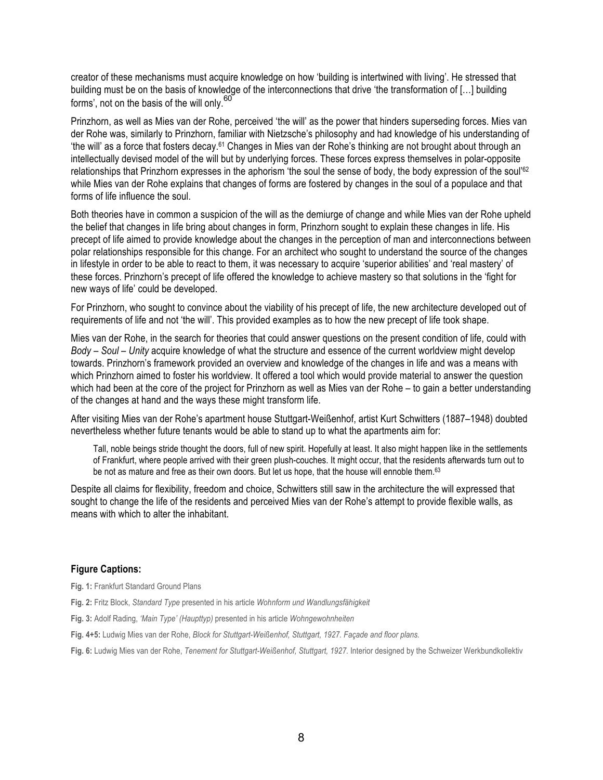creator of these mechanisms must acquire knowledge on how 'building is intertwined with living'. He stressed that building must be on the basis of knowledge of the interconnections that drive 'the transformation of […] building forms', not on the basis of the will only.<sup>60</sup>

Prinzhorn, as well as Mies van der Rohe, perceived 'the will' as the power that hinders superseding forces. Mies van der Rohe was, similarly to Prinzhorn, familiar with Nietzsche's philosophy and had knowledge of his understanding of 'the will' as a force that fosters decay. 61 Changes in Mies van der Rohe's thinking are not brought about through an intellectually devised model of the will but by underlying forces. These forces express themselves in polar-opposite relationships that Prinzhorn expresses in the aphorism 'the soul the sense of body, the body expression of the soul'62 while Mies van der Rohe explains that changes of forms are fostered by changes in the soul of a populace and that forms of life influence the soul.

Both theories have in common a suspicion of the will as the demiurge of change and while Mies van der Rohe upheld the belief that changes in life bring about changes in form, Prinzhorn sought to explain these changes in life. His precept of life aimed to provide knowledge about the changes in the perception of man and interconnections between polar relationships responsible for this change. For an architect who sought to understand the source of the changes in lifestyle in order to be able to react to them, it was necessary to acquire 'superior abilities' and 'real mastery' of these forces. Prinzhorn's precept of life offered the knowledge to achieve mastery so that solutions in the 'fight for new ways of life' could be developed.

For Prinzhorn, who sought to convince about the viability of his precept of life, the new architecture developed out of requirements of life and not 'the will'. This provided examples as to how the new precept of life took shape.

Mies van der Rohe, in the search for theories that could answer questions on the present condition of life, could with *Body – Soul – Unity* acquire knowledge of what the structure and essence of the current worldview might develop towards. Prinzhorn's framework provided an overview and knowledge of the changes in life and was a means with which Prinzhorn aimed to foster his worldview. It offered a tool which would provide material to answer the question which had been at the core of the project for Prinzhorn as well as Mies van der Rohe – to gain a better understanding of the changes at hand and the ways these might transform life.

After visiting Mies van der Rohe's apartment house Stuttgart-Weißenhof, artist Kurt Schwitters (1887–1948) doubted nevertheless whether future tenants would be able to stand up to what the apartments aim for:

Tall, noble beings stride thought the doors, full of new spirit. Hopefully at least. It also might happen like in the settlements of Frankfurt, where people arrived with their green plush-couches. It might occur, that the residents afterwards turn out to be not as mature and free as their own doors. But let us hope, that the house will ennoble them.<sup>63</sup>

Despite all claims for flexibility, freedom and choice, Schwitters still saw in the architecture the will expressed that sought to change the life of the residents and perceived Mies van der Rohe's attempt to provide flexible walls, as means with which to alter the inhabitant.

## **Figure Captions:**

**Fig. 1:** Frankfurt Standard Ground Plans

**Fig. 2:** Fritz Block, *Standard Type* presented in his article *Wohnform und Wandlungsfähigkeit*

**Fig. 3:** Adolf Rading, *'Main Type' (Haupttyp)* presented in his article *Wohngewohnheiten*

**Fig. 4+5:** Ludwig Mies van der Rohe, *Block for Stuttgart-Weißenhof, Stuttgart, 1927. Façade and floor plans.*

**Fig. 6:** Ludwig Mies van der Rohe, *Tenement for Stuttgart-Weißenhof, Stuttgart, 1927.* Interior designed by the Schweizer Werkbundkollektiv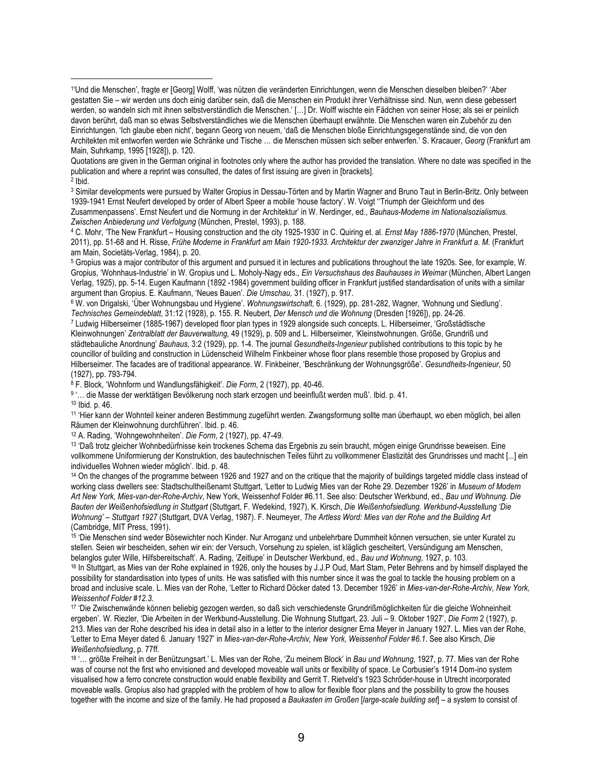Quotations are given in the German original in footnotes only where the author has provided the translation. Where no date was specified in the publication and where a reprint was consulted, the dates of first issuing are given in [brackets].  $2$  Ibid.

<sup>3</sup> Similar developments were pursued by Walter Gropius in Dessau-Törten and by Martin Wagner and Bruno Taut in Berlin-Britz. Only between 1939-1941 Ernst Neufert developed by order of Albert Speer a mobile 'house factory'. W. Voigt ''Triumph der Gleichform und des Zusammenpassens'. Ernst Neufert und die Normung in der Architektur' in W. Nerdinger, ed., *Bauhaus-Moderne im Nationalsozialismus. Zwischen Anbiederung und Verfolgung* (München, Prestel, 1993), p. 188.

<sup>4</sup> C. Mohr, 'The New Frankfurt – Housing construction and the city 1925-1930' in C. Quiring et. al. *Ernst May 1886-1970* (München, Prestel, 2011), pp. 51-68 and H. Risse, *Frühe Moderne in Frankfurt am Main 1920-1933. Architektur der zwanziger Jahre in Frankfurt a. M.* (Frankfurt am Main, Societäts-Verlag, 1984), p. 20.

5 Gropius was a major contributor of this argument and pursued it in lectures and publications throughout the late 1920s. See, for example, W. Gropius, 'Wohnhaus-Industrie' in W. Gropius und L. Moholy-Nagy eds., *Ein Versuchshaus des Bauhauses in Weimar* (München, Albert Langen Verlag, 1925), pp. 5-14. Eugen Kaufmann (1892 -1984) government building officer in Frankfurt justified standardisation of units with a similar argument than Gropius. E. Kaufmann, 'Neues Bauen'. *Die Umschau,* 31. (1927), p. 917.

6 W. von Drigalski, 'Über Wohnungsbau und Hygiene'. *Wohnungswirtschaft*, 6. (1929), pp. 281-282, Wagner, 'Wohnung und Siedlung'. *Technisches Gemeindeblatt*, 31:12 (1928), p. 155. R. Neubert, *Der Mensch und die Wohnung* (Dresden [1926]), pp. 24-26.

7 Ludwig Hilberseimer (1885-1967) developed floor plan types in 1929 alongside such concepts. L. Hilberseimer, 'Großstädtische Kleinwohnungen' *Zentralblatt der Bauverwaltung,* 49 (1929), p. 509 and L. Hilberseimer, 'Kleinstwohnungen. Größe, Grundriß und städtebauliche Anordnung' *Bauhaus,* 3:2 (1929), pp. 1-4. The journal *Gesundheits-Ingenieur* published contributions to this topic by he councillor of building and construction in Lüdenscheid Wilhelm Finkbeiner whose floor plans resemble those proposed by Gropius and Hilberseimer. The facades are of traditional appearance. W. Finkbeiner, 'Beschränkung der Wohnungsgröße'. *Gesundheits-Ingenieur*, 50 (1927), pp. 793-794.

8 F. Block, 'Wohnform und Wandlungsfähigkeit'. *Die Form*, 2 (1927), pp. 40-46.

9 '… die Masse der werktätigen Bevölkerung noch stark erzogen und beeinflußt werden muß'. Ibid. p. 41.

<sup>10</sup> Ibid. p. 46.

 $\overline{a}$ 

11 'Hier kann der Wohnteil keiner anderen Bestimmung zugeführt werden. Zwangsformung sollte man überhaupt, wo eben möglich, bei allen Räumen der Kleinwohnung durchführen'. Ibid. p. 46.

12 A. Rading, 'Wohngewohnheiten'. *Die Form*, 2 (1927), pp. 47-49.

13 'Daß trotz gleicher Wohnbedürfnisse kein trockenes Schema das Ergebnis zu sein braucht, mögen einige Grundrisse beweisen. Eine vollkommene Uniformierung der Konstruktion, des bautechnischen Teiles führt zu vollkommener Elastizität des Grundrisses und macht [...] ein individuelles Wohnen wieder möglich'. Ibid. p. 48.

<sup>14</sup> On the changes of the programme between 1926 and 1927 and on the critique that the majority of buildings targeted middle class instead of working class dwellers see: Stadtschultheißenamt Stuttgart, 'Letter to Ludwig Mies van der Rohe 29. Dezember 1926' in *Museum of Modern Art New York, Mies-van-der-Rohe-Archiv*, New York, Weissenhof Folder #6.11. See also: Deutscher Werkbund, ed., *Bau und Wohnung. Die Bauten der Weißenhofsiedlung in Stuttgart* (Stuttgart, F. Wedekind, 1927), K. Kirsch, *Die Weißenhofsiedlung. Werkbund-Ausstellung 'Die Wohnung' – Stuttgart 1927* (Stuttgart, DVA Verlag, 1987). F. Neumeyer, *The Artless Word: Mies van der Rohe and the Building Art*  (Cambridge, MIT Press, 1991).

15 'Die Menschen sind weder Bösewichter noch Kinder. Nur Arroganz und unbelehrbare Dummheit können versuchen, sie unter Kuratel zu stellen. Seien wir bescheiden, sehen wir ein: der Versuch, Vorsehung zu spielen, ist kläglich gescheitert, Versündigung am Menschen, belanglos guter Wille, Hilfsbereitschaft'. A. Rading, 'Zeitlupe' in Deutscher Werkbund, ed., *Bau und Wohnung*, 1927, p. 103.

<sup>16</sup> In Stuttgart, as Mies van der Rohe explained in 1926, only the houses by J.J.P Oud, Mart Stam, Peter Behrens and by himself displayed the possibility for standardisation into types of units. He was satisfied with this number since it was the goal to tackle the housing problem on a broad and inclusive scale. L. Mies van der Rohe, 'Letter to Richard Döcker dated 13. December 1926' in *Mies-van-der-Rohe-Archiv, New York, Weissenhof Folder #12.3.*

<sup>17</sup> 'Die Zwischenwände können beliebig gezogen werden, so daß sich verschiedenste Grundrißmöglichkeiten für die gleiche Wohneinheit ergeben'. W. Riezler, 'Die Arbeiten in der Werkbund-Ausstellung. Die Wohnung Stuttgart, 23. Juli – 9. Oktober 1927', *Die Form* 2 (1927), p. 213. Mies van der Rohe described his idea in detail also in a letter to the interior designer Erna Meyer in January 1927. L. Mies van der Rohe, 'Letter to Erna Meyer dated 6. January 1927' in *Mies-van-der-Rohe-Archiv, New York, Weissenhof Folder #6.1.* See also Kirsch, *Die Weißenhofsiedlung*, p. 77ff.

18 '… größte Freiheit in der Benützungsart.' L. Mies van der Rohe, 'Zu meinem Block' in *Bau und Wohnung*, 1927, p. 77. Mies van der Rohe was of course not the first who envisioned and developed moveable wall units or flexibility of space. Le Corbusier's 1914 Dom-ino system visualised how a ferro concrete construction would enable flexibility and Gerrit T. Rietveld's 1923 Schröder-house in Utrecht incorporated moveable walls. Gropius also had grappled with the problem of how to allow for flexible floor plans and the possibility to grow the houses together with the income and size of the family. He had proposed a *Baukasten im Großen* [*large-scale building set*] – a system to consist of

<sup>1&#</sup>x27;Und die Menschen', fragte er [Georg] Wolff, 'was nützen die veränderten Einrichtungen, wenn die Menschen dieselben bleiben?' 'Aber gestatten Sie – wir werden uns doch einig darüber sein, daß die Menschen ein Produkt ihrer Verhältnisse sind. Nun, wenn diese gebessert werden, so wandeln sich mit ihnen selbstverständlich die Menschen.' […] Dr. Wolff wischte ein Fädchen von seiner Hose; als sei er peinlich davon berührt, daß man so etwas Selbstverständliches wie die Menschen überhaupt erwähnte. Die Menschen waren ein Zubehör zu den Einrichtungen. 'Ich glaube eben nicht', begann Georg von neuem, 'daß die Menschen bloße Einrichtungsgegenstände sind, die von den Architekten mit entworfen werden wie Schränke und Tische … die Menschen müssen sich selber entwerfen.' S. Kracauer, *Georg* (Frankfurt am Main, Suhrkamp, 1995 [1928]), p. 120.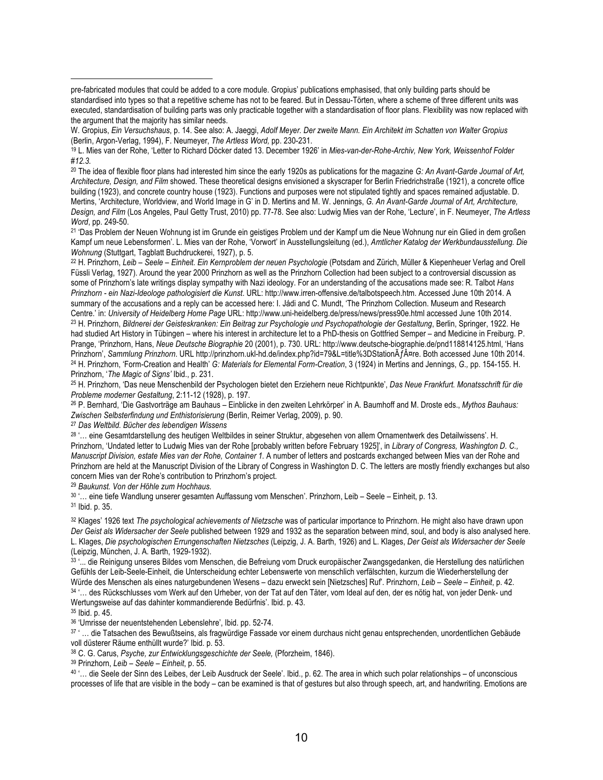<sup>20</sup> The idea of flexible floor plans had interested him since the early 1920s as publications for the magazine *G: An Avant-Garde Journal of Art, Architecture, Design, and Film* showed. These theoretical designs envisioned a skyscraper for Berlin Friedrichstraße (1921), a concrete office building (1923), and concrete country house (1923). Functions and purposes were not stipulated tightly and spaces remained adjustable. D. Mertins, 'Architecture, Worldview, and World Image in G' in D. Mertins and M. W. Jennings, *G. An Avant-Garde Journal of Art, Architecture, Design, and Film* (Los Angeles, Paul Getty Trust, 2010) pp. 77-78. See also: Ludwig Mies van der Rohe, 'Lecture', in F. Neumeyer, *The Artless Word*, pp. 249-50.

21 'Das Problem der Neuen Wohnung ist im Grunde ein geistiges Problem und der Kampf um die Neue Wohnung nur ein Glied in dem großen Kampf um neue Lebensformen'. L. Mies van der Rohe, 'Vorwort' in Ausstellungsleitung (ed.), *Amtlicher Katalog der Werkbundausstellung. Die Wohnung* (Stuttgart, Tagblatt Buchdruckerei, 1927), p. 5.

22 H. Prinzhorn, *Leib – Seele – Einheit. Ein Kernproblem der neuen Psychologie* (Potsdam and Zürich, Müller & Kiepenheuer Verlag and Orell Füssli Verlag, 1927). Around the year 2000 Prinzhorn as well as the Prinzhorn Collection had been subject to a controversial discussion as some of Prinzhorn's late writings display sympathy with Nazi ideology. For an understanding of the accusations made see: R. Talbot *Hans Prinzhorn - ein Nazi-Ideologe pathologisiert die Kunst*. URL: http://www.irren-offensive.de/talbotspeech.htm. Accessed June 10th 2014. A summary of the accusations and a reply can be accessed here: I. Jádi and C. Mundt, 'The Prinzhorn Collection. Museum and Research Centre.' in: *University of Heidelberg Home Page* URL: http://www.uni-heidelberg.de/press/news/press90e.html accessed June 10th 2014. 23 H. Prinzhorn, *Bildnerei der Geisteskranken: Ein Beitrag zur Psychologie und Psychopathologie der Gestaltung*, Berlin, Springer, 1922. He had studied Art History in Tübingen – where his interest in architecture let to a PhD-thesis on Gottfried Semper – and Medicine in Freiburg. P. Prange, 'Prinzhorn, Hans, *Neue Deutsche Biographie* 20 (2001), p. 730. URL: http://www.deutsche-biographie.de/pnd118814125.html, 'Hans Prinzhorn', Sammlung Prinzhorn. URL http://prinzhorn.ukl-hd.de/index.php?id=79&L=title%3DStationÄf¤re. Both accessed June 10th 2014. 24 H. Prinzhorn, 'Form-Creation and Health' *G: Materials for Elemental Form-Creation*, 3 (1924) in Mertins and Jennings, *G.,* pp. 154-155. H. Prinzhorn, '*The Magic of Signs'* Ibid., p. 231.

25 H. Prinzhorn, 'Das neue Menschenbild der Psychologen bietet den Erziehern neue Richtpunkte', *Das Neue Frankfurt. Monatsschrift für die Probleme moderner Gestaltung*, 2:11-12 (1928), p. 197.

26 P. Bernhard, 'Die Gastvorträge am Bauhaus – Einblicke in den zweiten Lehrkörper' in A. Baumhoff and M. Droste eds., *Mythos Bauhaus: Zwischen Selbsterfindung und Enthistorisierung* (Berlin, Reimer Verlag, 2009), p. 90.

<sup>27</sup> *Das Weltbild. Bücher des lebendigen Wissens*

28 '... eine Gesamtdarstellung des heutigen Weltbildes in seiner Struktur, abgesehen von allem Ornamentwerk des Detailwissens'. H. Prinzhorn, 'Undated letter to Ludwig Mies van der Rohe [probably written before February 1925]', in *Library of Congress, Washington D. C., Manuscript Division, estate Mies van der Rohe, Container 1.* A number of letters and postcards exchanged between Mies van der Rohe and Prinzhorn are held at the Manuscript Division of the Library of Congress in Washington D. C. The letters are mostly friendly exchanges but also concern Mies van der Rohe's contribution to Prinzhorn's project.

<sup>29</sup> *Baukunst. Von der Höhle zum Hochhaus.* 

<sup>30</sup> '… eine tiefe Wandlung unserer gesamten Auffassung vom Menschen'. Prinzhorn, Leib – Seele – Einheit, p. 13. <sup>31</sup> Ibid. p. 35.

32 Klages' 1926 text *The psychological achievements of Nietzsche* was of particular importance to Prinzhorn. He might also have drawn upon *Der Geist als Widersacher der Seele* published between 1929 and 1932 as the separation between mind, soul, and body is also analysed here. L. Klages, *Die psychologischen Errungenschaften Nietzsches* (Leipzig, J. A. Barth, 1926) and L. Klages, *Der Geist als Widersacher der Seele* (Leipzig, München, J. A. Barth, 1929-1932).

33 '... die Reinigung unseres Bildes vom Menschen, die Befreiung vom Druck europäischer Zwangsgedanken, die Herstellung des natürlichen Gefühls der Leib-Seele-Einheit, die Unterscheidung echter Lebenswerte von menschlich verfälschten, kurzum die Wiederherstellung der Würde des Menschen als eines naturgebundenen Wesens – dazu erweckt sein [Nietzsches] Ruf'. Prinzhorn, *Leib – Seele – Einheit*, p. 42.

34 '… des Rückschlusses vom Werk auf den Urheber, von der Tat auf den Täter, vom Ideal auf den, der es nötig hat, von jeder Denk- und Wertungsweise auf das dahinter kommandierende Bedürfnis'. Ibid. p. 43.

35 Ibid. p. 45.

 $\overline{a}$ 

<sup>36</sup> 'Umrisse der neuentstehenden Lebenslehre', Ibid. pp. 52-74.

37 ' … die Tatsachen des Bewußtseins, als fragwürdige Fassade vor einem durchaus nicht genau entsprechenden, unordentlichen Gebäude voll düsterer Räume enthüllt wurde?' Ibid. p. 53.

38 C. G. Carus, *Psyche, zur Entwicklungsgeschichte der Seele,* (Pforzheim, 1846).

39 Prinzhorn, *Leib – Seele – Einheit*, p. 55.

40 '… die Seele der Sinn des Leibes, der Leib Ausdruck der Seele'. Ibid., p. 62. The area in which such polar relationships – of unconscious processes of life that are visible in the body – can be examined is that of gestures but also through speech, art, and handwriting. Emotions are

pre-fabricated modules that could be added to a core module. Gropius' publications emphasised, that only building parts should be standardised into types so that a repetitive scheme has not to be feared. But in Dessau-Törten, where a scheme of three different units was executed, standardisation of building parts was only practicable together with a standardisation of floor plans. Flexibility was now replaced with the argument that the majority has similar needs.

W. Gropius, *Ein Versuchshaus*, p. 14. See also: A. Jaeggi, *Adolf Meyer. Der zweite Mann. Ein Architekt im Schatten von Walter Gropius* (Berlin, Argon-Verlag, 1994), F. Neumeyer, *The Artless Word,* pp. 230-231.

<sup>19</sup> L. Mies van der Rohe, 'Letter to Richard Döcker dated 13. December 1926' in *Mies-van-der-Rohe-Archiv, New York, Weissenhof Folder #12.3.*